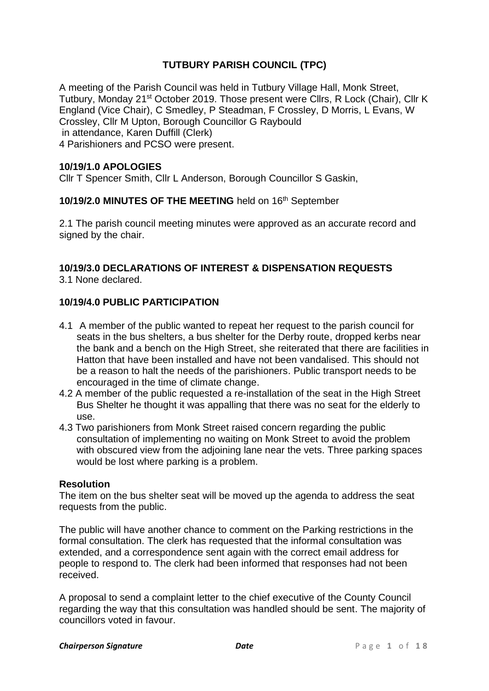### **TUTBURY PARISH COUNCIL (TPC)**

A meeting of the Parish Council was held in Tutbury Village Hall, Monk Street, Tutbury, Monday 21st October 2019. Those present were Cllrs, R Lock (Chair), Cllr K England (Vice Chair), C Smedley, P Steadman, F Crossley, D Morris, L Evans, W Crossley, Cllr M Upton, Borough Councillor G Raybould in attendance, Karen Duffill (Clerk) 4 Parishioners and PCSO were present.

### **10/19/1.0 APOLOGIES**

Cllr T Spencer Smith, Cllr L Anderson, Borough Councillor S Gaskin,

### **10/19/2.0 MINUTES OF THE MEETING** held on 16th September

2.1 The parish council meeting minutes were approved as an accurate record and signed by the chair.

### **10/19/3.0 DECLARATIONS OF INTEREST & DISPENSATION REQUESTS**

3.1 None declared.

### **10/19/4.0 PUBLIC PARTICIPATION**

- 4.1 A member of the public wanted to repeat her request to the parish council for seats in the bus shelters, a bus shelter for the Derby route, dropped kerbs near the bank and a bench on the High Street, she reiterated that there are facilities in Hatton that have been installed and have not been vandalised. This should not be a reason to halt the needs of the parishioners. Public transport needs to be encouraged in the time of climate change.
- 4.2 A member of the public requested a re-installation of the seat in the High Street Bus Shelter he thought it was appalling that there was no seat for the elderly to use.
- 4.3 Two parishioners from Monk Street raised concern regarding the public consultation of implementing no waiting on Monk Street to avoid the problem with obscured view from the adjoining lane near the vets. Three parking spaces would be lost where parking is a problem.

### **Resolution**

The item on the bus shelter seat will be moved up the agenda to address the seat requests from the public.

The public will have another chance to comment on the Parking restrictions in the formal consultation. The clerk has requested that the informal consultation was extended, and a correspondence sent again with the correct email address for people to respond to. The clerk had been informed that responses had not been received.

A proposal to send a complaint letter to the chief executive of the County Council regarding the way that this consultation was handled should be sent. The majority of councillors voted in favour.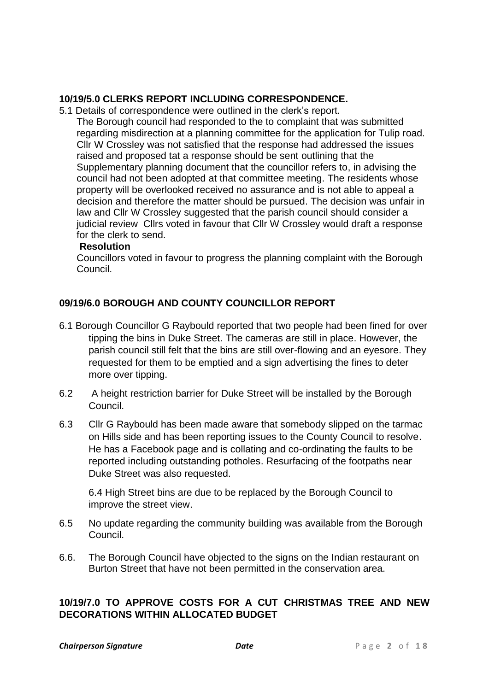### **10/19/5.0 CLERKS REPORT INCLUDING CORRESPONDENCE.**

- 5.1 Details of correspondence were outlined in the clerk's report.
	- The Borough council had responded to the to complaint that was submitted regarding misdirection at a planning committee for the application for Tulip road. Cllr W Crossley was not satisfied that the response had addressed the issues raised and proposed tat a response should be sent outlining that the Supplementary planning document that the councillor refers to, in advising the council had not been adopted at that committee meeting. The residents whose property will be overlooked received no assurance and is not able to appeal a decision and therefore the matter should be pursued. The decision was unfair in law and Cllr W Crossley suggested that the parish council should consider a judicial review Cllrs voted in favour that Cllr W Crossley would draft a response for the clerk to send.

### **Resolution**

Councillors voted in favour to progress the planning complaint with the Borough Council.

### **09/19/6.0 BOROUGH AND COUNTY COUNCILLOR REPORT**

- 6.1 Borough Councillor G Raybould reported that two people had been fined for over tipping the bins in Duke Street. The cameras are still in place. However, the parish council still felt that the bins are still over-flowing and an eyesore. They requested for them to be emptied and a sign advertising the fines to deter more over tipping.
- 6.2 A height restriction barrier for Duke Street will be installed by the Borough Council.
- 6.3 Cllr G Raybould has been made aware that somebody slipped on the tarmac on Hills side and has been reporting issues to the County Council to resolve. He has a Facebook page and is collating and co-ordinating the faults to be reported including outstanding potholes. Resurfacing of the footpaths near Duke Street was also requested.

6.4 High Street bins are due to be replaced by the Borough Council to improve the street view.

- 6.5 No update regarding the community building was available from the Borough Council.
- 6.6. The Borough Council have objected to the signs on the Indian restaurant on Burton Street that have not been permitted in the conservation area.

### **10/19/7.0 TO APPROVE COSTS FOR A CUT CHRISTMAS TREE AND NEW DECORATIONS WITHIN ALLOCATED BUDGET**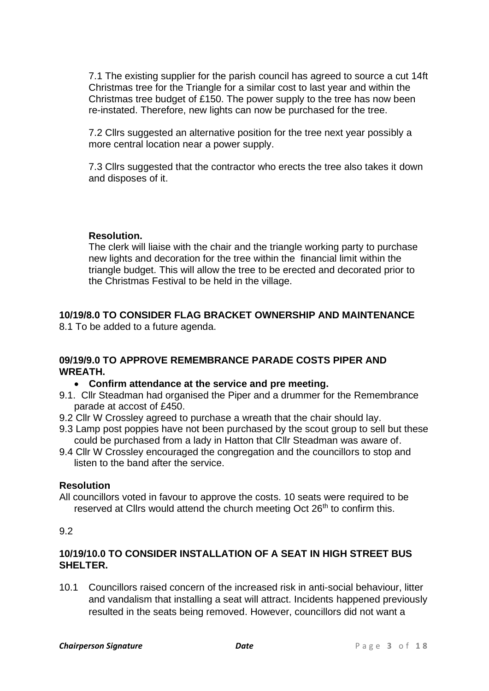7.1 The existing supplier for the parish council has agreed to source a cut 14ft Christmas tree for the Triangle for a similar cost to last year and within the Christmas tree budget of £150. The power supply to the tree has now been re-instated. Therefore, new lights can now be purchased for the tree.

7.2 Cllrs suggested an alternative position for the tree next year possibly a more central location near a power supply.

7.3 Cllrs suggested that the contractor who erects the tree also takes it down and disposes of it.

### **Resolution.**

The clerk will liaise with the chair and the triangle working party to purchase new lights and decoration for the tree within the financial limit within the triangle budget. This will allow the tree to be erected and decorated prior to the Christmas Festival to be held in the village.

### **10/19/8.0 TO CONSIDER FLAG BRACKET OWNERSHIP AND MAINTENANCE**  8.1 To be added to a future agenda.

### **09/19/9.0 TO APPROVE REMEMBRANCE PARADE COSTS PIPER AND WREATH.**

### • **Confirm attendance at the service and pre meeting.**

- 9.1. Cllr Steadman had organised the Piper and a drummer for the Remembrance parade at accost of £450.
- 9.2 Cllr W Crossley agreed to purchase a wreath that the chair should lay.
- 9.3 Lamp post poppies have not been purchased by the scout group to sell but these could be purchased from a lady in Hatton that Cllr Steadman was aware of.
- 9.4 Cllr W Crossley encouraged the congregation and the councillors to stop and listen to the band after the service.

### **Resolution**

All councillors voted in favour to approve the costs. 10 seats were required to be reserved at Cllrs would attend the church meeting Oct 26<sup>th</sup> to confirm this.

### 9.2

### **10/19/10.0 TO CONSIDER INSTALLATION OF A SEAT IN HIGH STREET BUS SHELTER.**

10.1 Councillors raised concern of the increased risk in anti-social behaviour, litter and vandalism that installing a seat will attract. Incidents happened previously resulted in the seats being removed. However, councillors did not want a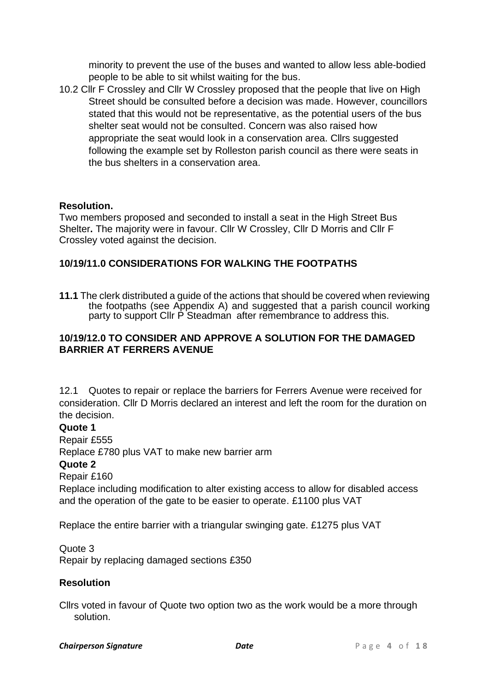minority to prevent the use of the buses and wanted to allow less able-bodied people to be able to sit whilst waiting for the bus.

10.2 Cllr F Crossley and Cllr W Crossley proposed that the people that live on High Street should be consulted before a decision was made. However, councillors stated that this would not be representative, as the potential users of the bus shelter seat would not be consulted. Concern was also raised how appropriate the seat would look in a conservation area. Cllrs suggested following the example set by Rolleston parish council as there were seats in the bus shelters in a conservation area.

### **Resolution.**

Two members proposed and seconded to install a seat in the High Street Bus Shelter**.** The majority were in favour. Cllr W Crossley, Cllr D Morris and Cllr F Crossley voted against the decision.

### **10/19/11.0 CONSIDERATIONS FOR WALKING THE FOOTPATHS**

**11.1** The clerk distributed a guide of the actions that should be covered when reviewing the footpaths (see Appendix A) and suggested that a parish council working party to support Cllr P Steadman after remembrance to address this.

### **10/19/12.0 TO CONSIDER AND APPROVE A SOLUTION FOR THE DAMAGED BARRIER AT FERRERS AVENUE**

12.1 Quotes to repair or replace the barriers for Ferrers Avenue were received for consideration. Cllr D Morris declared an interest and left the room for the duration on the decision.

### **Quote 1**

Repair £555

Replace £780 plus VAT to make new barrier arm

### **Quote 2**

Repair £160

Replace including modification to alter existing access to allow for disabled access and the operation of the gate to be easier to operate. £1100 plus VAT

Replace the entire barrier with a triangular swinging gate. £1275 plus VAT

Quote 3

Repair by replacing damaged sections £350

### **Resolution**

Cllrs voted in favour of Quote two option two as the work would be a more through solution.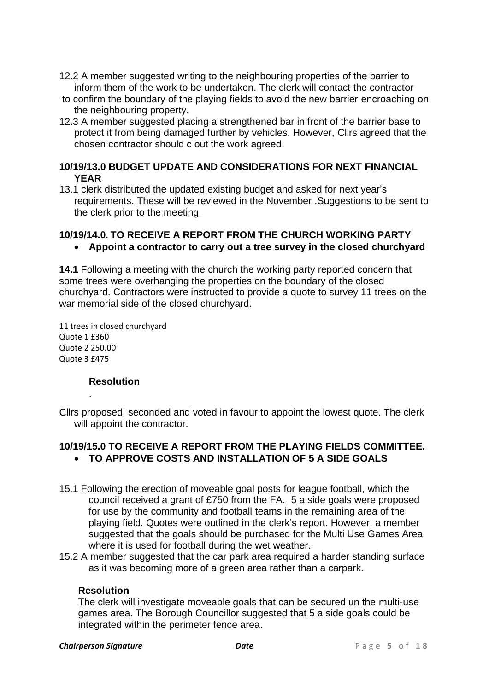- 12.2 A member suggested writing to the neighbouring properties of the barrier to inform them of the work to be undertaken. The clerk will contact the contractor
- to confirm the boundary of the playing fields to avoid the new barrier encroaching on the neighbouring property.
- 12.3 A member suggested placing a strengthened bar in front of the barrier base to protect it from being damaged further by vehicles. However, Cllrs agreed that the chosen contractor should c out the work agreed.

### **10/19/13.0 BUDGET UPDATE AND CONSIDERATIONS FOR NEXT FINANCIAL YEAR**

13.1 clerk distributed the updated existing budget and asked for next year's requirements. These will be reviewed in the November .Suggestions to be sent to the clerk prior to the meeting.

## **10/19/14.0. TO RECEIVE A REPORT FROM THE CHURCH WORKING PARTY**

• **Appoint a contractor to carry out a tree survey in the closed churchyard**

**14.1** Following a meeting with the church the working party reported concern that some trees were overhanging the properties on the boundary of the closed churchyard. Contractors were instructed to provide a quote to survey 11 trees on the war memorial side of the closed churchyard.

11 trees in closed churchyard Quote 1 £360 Quote 2 250.00 Quote 3 £475

### **Resolution**

.

Cllrs proposed, seconded and voted in favour to appoint the lowest quote. The clerk will appoint the contractor.

### **10/19/15.0 TO RECEIVE A REPORT FROM THE PLAYING FIELDS COMMITTEE.**  • **TO APPROVE COSTS AND INSTALLATION OF 5 A SIDE GOALS**

- 15.1 Following the erection of moveable goal posts for league football, which the council received a grant of £750 from the FA. 5 a side goals were proposed for use by the community and football teams in the remaining area of the playing field. Quotes were outlined in the clerk's report. However, a member suggested that the goals should be purchased for the Multi Use Games Area where it is used for football during the wet weather.
- 15.2 A member suggested that the car park area required a harder standing surface as it was becoming more of a green area rather than a carpark.

### **Resolution**

The clerk will investigate moveable goals that can be secured un the multi-use games area. The Borough Councillor suggested that 5 a side goals could be integrated within the perimeter fence area.

#### **Chairperson Signature** *Date Date Page 5 of 18*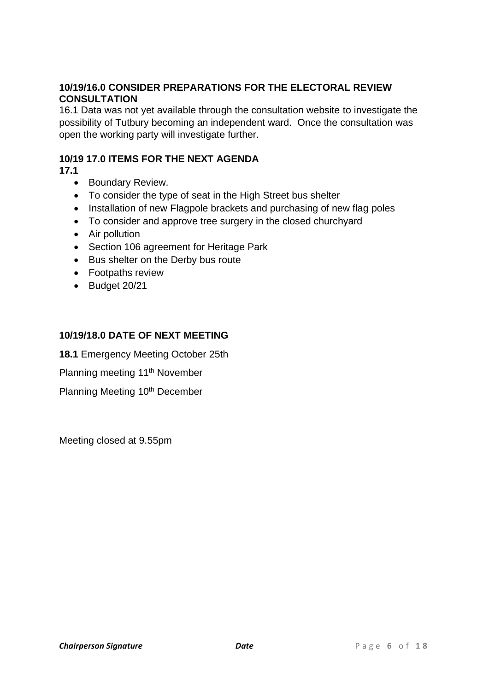### **10/19/16.0 CONSIDER PREPARATIONS FOR THE ELECTORAL REVIEW CONSULTATION**

16.1 Data was not yet available through the consultation website to investigate the possibility of Tutbury becoming an independent ward. Once the consultation was open the working party will investigate further.

### **10/19 17.0 ITEMS FOR THE NEXT AGENDA**

**17.1**

- Boundary Review.
- To consider the type of seat in the High Street bus shelter
- Installation of new Flagpole brackets and purchasing of new flag poles
- To consider and approve tree surgery in the closed churchyard
- Air pollution
- Section 106 agreement for Heritage Park
- Bus shelter on the Derby bus route
- Footpaths review
- Budget 20/21

### **10/19/18.0 DATE OF NEXT MEETING**

**18.1** Emergency Meeting October 25th

Planning meeting 11<sup>th</sup> November

Planning Meeting 10<sup>th</sup> December

Meeting closed at 9.55pm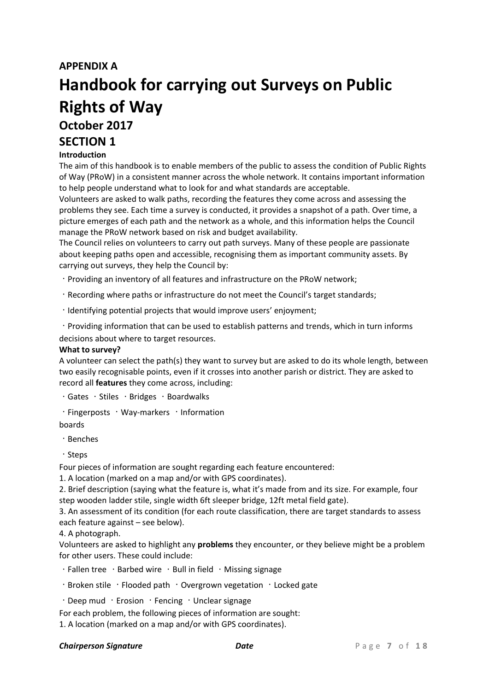### **APPENDIX A**

# **Handbook for carrying out Surveys on Public Rights of Way October 2017 SECTION 1**

### **Introduction**

The aim of this handbook is to enable members of the public to assess the condition of Public Rights of Way (PRoW) in a consistent manner across the whole network. It contains important information to help people understand what to look for and what standards are acceptable.

Volunteers are asked to walk paths, recording the features they come across and assessing the problems they see. Each time a survey is conducted, it provides a snapshot of a path. Over time, a picture emerges of each path and the network as a whole, and this information helps the Council manage the PRoW network based on risk and budget availability.

The Council relies on volunteers to carry out path surveys. Many of these people are passionate about keeping paths open and accessible, recognising them as important community assets. By carrying out surveys, they help the Council by:

Providing an inventory of all features and infrastructure on the PRoW network;

Recording where paths or infrastructure do not meet the Council's target standards;

 $\cdot$  Identifying potential projects that would improve users' enjoyment;

Providing information that can be used to establish patterns and trends, which in turn informs decisions about where to target resources.

#### **What to survey?**

A volunteer can select the path(s) they want to survey but are asked to do its whole length, between two easily recognisable points, even if it crosses into another parish or district. They are asked to record all **features** they come across, including:

 $\cdot$  Gates  $\cdot$  Stiles  $\cdot$  Bridges  $\cdot$  Boardwalks

 $\cdot$  Fingerposts  $\cdot$  Way-markers  $\cdot$  Information

boards

Benches

· Steps

Four pieces of information are sought regarding each feature encountered:

1. A location (marked on a map and/or with GPS coordinates).

2. Brief description (saying what the feature is, what it's made from and its size. For example, four step wooden ladder stile, single width 6ft sleeper bridge, 12ft metal field gate).

3. An assessment of its condition (for each route classification, there are target standards to assess each feature against – see below).

4. A photograph.

Volunteers are asked to highlight any **problems** they encounter, or they believe might be a problem for other users. These could include:

 $\cdot$  Fallen tree  $\cdot$  Barbed wire  $\cdot$  Bull in field  $\cdot$  Missing signage

 $\cdot$  Broken stile  $\cdot$  Flooded path  $\cdot$  Overgrown vegetation  $\cdot$  Locked gate

 $\cdot$  Deep mud  $\cdot$  Erosion  $\cdot$  Fencing  $\cdot$  Unclear signage

For each problem, the following pieces of information are sought:

1. A location (marked on a map and/or with GPS coordinates).

#### **Chairperson Signature** *Date Date Page 7 of 18*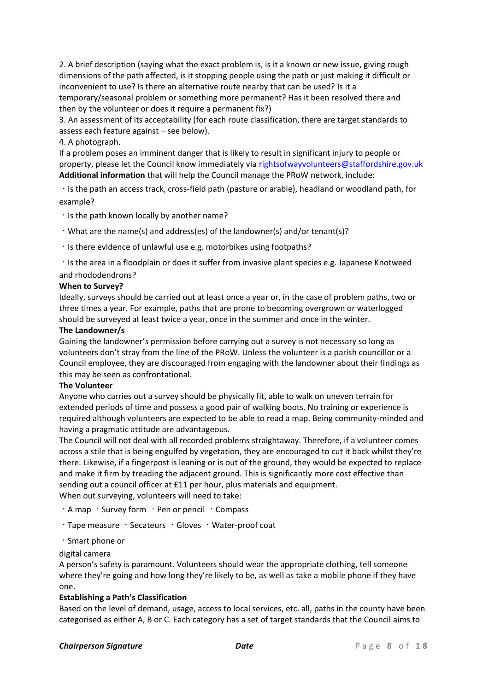2. A brief description (saying what the exact problem is, is it a known or new issue, giving rough dimensions of the path affected, is it stopping people using the path or just making it difficult or inconvenient to use? Is there an alternative route nearby that can be used? Is it a temporary/seasonal problem or something more permanent? Has it been resolved there and then by the volunteer or does it require a permanent fix?)

3. An assessment of its acceptability (for each route classification, there are target standards to assess each feature against – see below).

#### 4. A photograph.

If a problem poses an imminent danger that is likely to result in significant injury to people or property, please let the Council know immediately via rightsofwayvolunteers@staffordshire.gov.uk **Additional information** that will help the Council manage the PRoW network, include:

Is the path an access track, cross-field path (pasture or arable), headland or woodland path, for example?

 $\cdot$  Is the path known locally by another name?

- What are the name(s) and address(es) of the landowner(s) and/or tenant(s)?
- $\cdot$  Is there evidence of unlawful use e.g. motorbikes using footpaths?

Is the area in a floodplain or does it suffer from invasive plant species e.g. Japanese Knotweed and rhododendrons?

#### **When to Survey?**

Ideally, surveys should be carried out at least once a year or, in the case of problem paths, two or three times a year. For example, paths that are prone to becoming overgrown or waterlogged should be surveyed at least twice a year, once in the summer and once in the winter.

#### **The Landowner/s**

Gaining the landowner's permission before carrying out a survey is not necessary so long as volunteers don't stray from the line of the PRoW. Unless the volunteer is a parish councillor or a Council employee, they are discouraged from engaging with the landowner about their findings as this may be seen as confrontational.

#### **The Volunteer**

Anyone who carries out a survey should be physically fit, able to walk on uneven terrain for extended periods of time and possess a good pair of walking boots. No training or experience is required although volunteers are expected to be able to read a map. Being community-minded and having a pragmatic attitude are advantageous.

The Council will not deal with all recorded problems straightaway. Therefore, if a volunteer comes across a stile that is being engulfed by vegetation, they are encouraged to cut it back whilst they're there. Likewise, if a fingerpost is leaning or is out of the ground, they would be expected to replace and make it firm by treading the adjacent ground. This is significantly more cost effective than sending out a council officer at £11 per hour, plus materials and equipment. When out surveying, volunteers will need to take:

 $\cdot$  A map  $\cdot$  Survey form  $\cdot$  Pen or pencil  $\cdot$  Compass

 $\cdot$  Tape measure  $\cdot$  Secateurs  $\cdot$  Gloves  $\cdot$  Water-proof coat

Smart phone or

digital camera

A person's safety is paramount. Volunteers should wear the appropriate clothing, tell someone where they're going and how long they're likely to be, as well as take a mobile phone if they have one.

### **Establishing a Path's Classification**

Based on the level of demand, usage, access to local services, etc. all, paths in the county have been categorised as either A, B or C. Each category has a set of target standards that the Council aims to

#### **Chairperson Signature** *Date Date* **<b>***Page 8 of 18*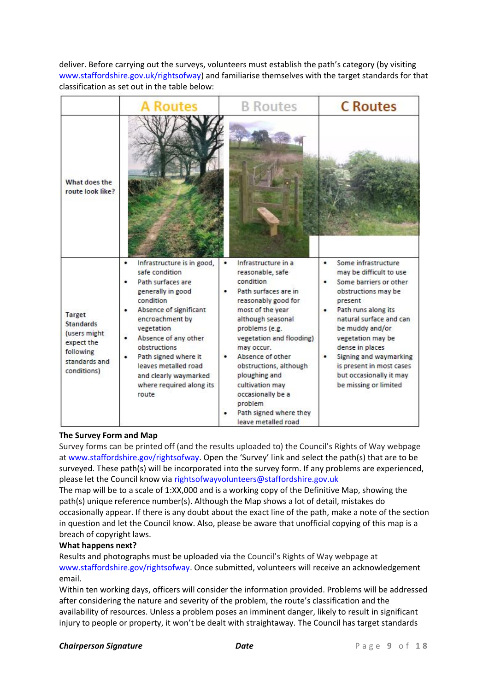deliver. Before carrying out the surveys, volunteers must establish the path's category (by visiting www.staffordshire.gov.uk/rightsofway) and familiarise themselves with the target standards for that classification as set out in the table below:

|                                                                                                               | Routes                                                                                                                                                                                                                                                                                                                         | <b>B</b> Routes                                                                                                                                                                                                                                                                                                                                                                  | <b>C</b> Routes                                                                                                                                                                                                                                                                                                                             |
|---------------------------------------------------------------------------------------------------------------|--------------------------------------------------------------------------------------------------------------------------------------------------------------------------------------------------------------------------------------------------------------------------------------------------------------------------------|----------------------------------------------------------------------------------------------------------------------------------------------------------------------------------------------------------------------------------------------------------------------------------------------------------------------------------------------------------------------------------|---------------------------------------------------------------------------------------------------------------------------------------------------------------------------------------------------------------------------------------------------------------------------------------------------------------------------------------------|
| What does the<br>route look like?                                                                             |                                                                                                                                                                                                                                                                                                                                |                                                                                                                                                                                                                                                                                                                                                                                  |                                                                                                                                                                                                                                                                                                                                             |
| <b>Target</b><br><b>Standards</b><br>(users might)<br>expect the<br>following<br>standards and<br>conditions) | Infrastructure is in good,<br>٠<br>safe condition<br>Path surfaces are<br>generally in good<br>condition<br>Absence of significant<br>٠<br>encroachment by<br>vegetation<br>Absence of any other<br>obstructions<br>Path signed where it<br>leaves metalled road<br>and clearly waymarked<br>where required along its<br>route | Infrastructure in a<br>٠<br>reasonable, safe<br>condition<br>Path surfaces are in<br>reasonably good for<br>most of the year<br>although seasonal<br>problems (e.g.<br>vegetation and flooding)<br>may occur.<br>Absence of other<br>obstructions, although<br>ploughing and<br>cultivation may<br>occasionally be a<br>problem<br>Path signed where they<br>leave metalled road | Some infrastructure<br>٠<br>may be difficult to use<br>Some barriers or other<br>obstructions may be<br>present<br>Path runs along its<br>٠<br>natural surface and can<br>be muddy and/or<br>vegetation may be<br>dense in places<br>Signing and waymarking<br>is present in most cases<br>but occasionally it may<br>be missing or limited |

### **The Survey Form and Map**

Survey forms can be printed off (and the results uploaded to) the Council's Rights of Way webpage at www.staffordshire.gov/rightsofway. Open the 'Survey' link and select the path(s) that are to be surveyed. These path(s) will be incorporated into the survey form. If any problems are experienced, please let the Council know via rightsofwayvolunteers@staffordshire.gov.uk

The map will be to a scale of 1:XX,000 and is a working copy of the Definitive Map, showing the path(s) unique reference number(s). Although the Map shows a lot of detail, mistakes do occasionally appear. If there is any doubt about the exact line of the path, make a note of the section in question and let the Council know. Also, please be aware that unofficial copying of this map is a breach of copyright laws.

### **What happens next?**

Results and photographs must be uploaded via the Council's Rights of Way webpage at www.staffordshire.gov/rightsofway. Once submitted, volunteers will receive an acknowledgement email.

Within ten working days, officers will consider the information provided. Problems will be addressed after considering the nature and severity of the problem, the route's classification and the availability of resources. Unless a problem poses an imminent danger, likely to result in significant injury to people or property, it won't be dealt with straightaway. The Council has target standards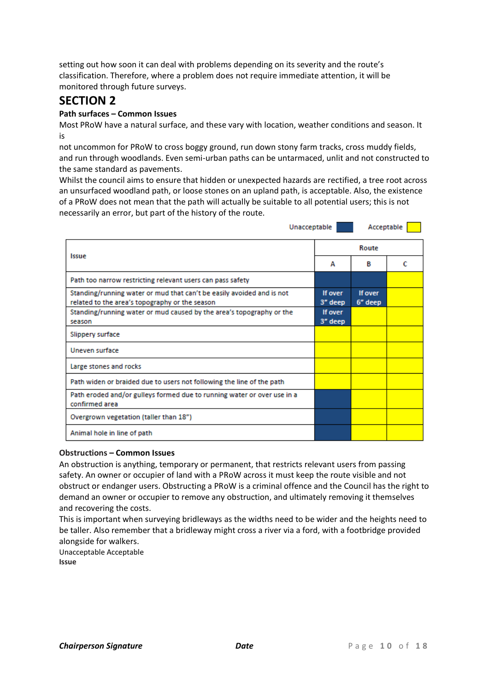setting out how soon it can deal with problems depending on its severity and the route's classification. Therefore, where a problem does not require immediate attention, it will be monitored through future surveys.

### **SECTION 2**

### **Path surfaces – Common Issues**

Most PRoW have a natural surface, and these vary with location, weather conditions and season. It is

not uncommon for PRoW to cross boggy ground, run down stony farm tracks, cross muddy fields, and run through woodlands. Even semi-urban paths can be untarmaced, unlit and not constructed to the same standard as pavements.

Whilst the council aims to ensure that hidden or unexpected hazards are rectified, a tree root across an unsurfaced woodland path, or loose stones on an upland path, is acceptable. Also, the existence of a PRoW does not mean that the path will actually be suitable to all potential users; this is not necessarily an error, but part of the history of the route.

| Unacceptable                                                                                                            |                    |                    | Acceptable |  |
|-------------------------------------------------------------------------------------------------------------------------|--------------------|--------------------|------------|--|
|                                                                                                                         |                    | Route              |            |  |
| Issue                                                                                                                   | А                  | в                  | c          |  |
| Path too narrow restricting relevant users can pass safety                                                              |                    |                    |            |  |
| Standing/running water or mud that can't be easily avoided and is not<br>related to the area's topography or the season | If over<br>3" deep | If over<br>6" deep |            |  |
| Standing/running water or mud caused by the area's topography or the<br>season                                          | If over<br>3" deep |                    |            |  |
| Slippery surface                                                                                                        |                    |                    |            |  |
| Uneven surface                                                                                                          |                    |                    |            |  |
| Large stones and rocks                                                                                                  |                    |                    |            |  |
| Path widen or braided due to users not following the line of the path                                                   |                    |                    |            |  |
| Path eroded and/or gulleys formed due to running water or over use in a<br>confirmed area                               |                    |                    |            |  |
| Overgrown vegetation (taller than 18")                                                                                  |                    |                    |            |  |
| Animal hole in line of path                                                                                             |                    |                    |            |  |

### **Obstructions – Common Issues**

An obstruction is anything, temporary or permanent, that restricts relevant users from passing safety. An owner or occupier of land with a PRoW across it must keep the route visible and not obstruct or endanger users. Obstructing a PRoW is a criminal offence and the Council has the right to demand an owner or occupier to remove any obstruction, and ultimately removing it themselves and recovering the costs.

This is important when surveying bridleways as the widths need to be wider and the heights need to be taller. Also remember that a bridleway might cross a river via a ford, with a footbridge provided alongside for walkers.

Unacceptable Acceptable **Issue**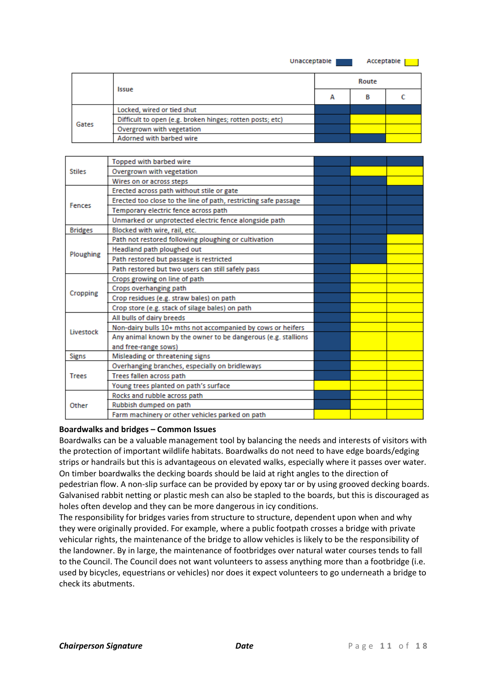Unacceptable |

Acceptable |

|       |                                                           |   | Route |  |  |  |
|-------|-----------------------------------------------------------|---|-------|--|--|--|
|       | Issue                                                     | А | в     |  |  |  |
|       | Locked, wired or tied shut                                |   |       |  |  |  |
| Gates | Difficult to open (e.g. broken hinges; rotten posts; etc) |   |       |  |  |  |
|       | Overgrown with vegetation                                 |   |       |  |  |  |
|       | Adorned with barbed wire                                  |   |       |  |  |  |

|                | <b>Topped with barbed wire</b>                                  |  |  |
|----------------|-----------------------------------------------------------------|--|--|
| <b>Stiles</b>  | Overgrown with vegetation                                       |  |  |
|                | Wires on or across steps                                        |  |  |
|                | Erected across path without stile or gate                       |  |  |
| <b>Fences</b>  | Erected too close to the line of path, restricting safe passage |  |  |
|                | Temporary electric fence across path                            |  |  |
|                | Unmarked or unprotected electric fence alongside path           |  |  |
| <b>Bridges</b> | Blocked with wire, rail, etc.                                   |  |  |
|                | Path not restored following ploughing or cultivation            |  |  |
| Ploughing      | Headland path ploughed out                                      |  |  |
|                | Path restored but passage is restricted                         |  |  |
|                | Path restored but two users can still safely pass               |  |  |
|                | Crops growing on line of path                                   |  |  |
| Cropping       | Crops overhanging path                                          |  |  |
|                | Crop residues (e.g. straw bales) on path                        |  |  |
|                | Crop store (e.g. stack of silage bales) on path                 |  |  |
|                | All bulls of dairy breeds                                       |  |  |
| Livestock      | Non-dairy bulls 10+ mths not accompanied by cows or heifers     |  |  |
|                | Any animal known by the owner to be dangerous (e.g. stallions   |  |  |
|                | and free-range sows)                                            |  |  |
| Signs          | Misleading or threatening signs                                 |  |  |
|                | Overhanging branches, especially on bridleways                  |  |  |
| <b>Trees</b>   | Trees fallen across path                                        |  |  |
|                | Young trees planted on path's surface                           |  |  |
|                | Rocks and rubble across path                                    |  |  |
| Other          | Rubbish dumped on path                                          |  |  |
|                | Farm machinery or other vehicles parked on path                 |  |  |

#### **Boardwalks and bridges – Common Issues**

Boardwalks can be a valuable management tool by balancing the needs and interests of visitors with the protection of important wildlife habitats. Boardwalks do not need to have edge boards/edging strips or handrails but this is advantageous on elevated walks, especially where it passes over water. On timber boardwalks the decking boards should be laid at right angles to the direction of pedestrian flow. A non-slip surface can be provided by epoxy tar or by using grooved decking boards. Galvanised rabbit netting or plastic mesh can also be stapled to the boards, but this is discouraged as holes often develop and they can be more dangerous in icy conditions.

The responsibility for bridges varies from structure to structure, dependent upon when and why they were originally provided. For example, where a public footpath crosses a bridge with private vehicular rights, the maintenance of the bridge to allow vehicles is likely to be the responsibility of the landowner. By in large, the maintenance of footbridges over natural water courses tends to fall to the Council. The Council does not want volunteers to assess anything more than a footbridge (i.e. used by bicycles, equestrians or vehicles) nor does it expect volunteers to go underneath a bridge to check its abutments.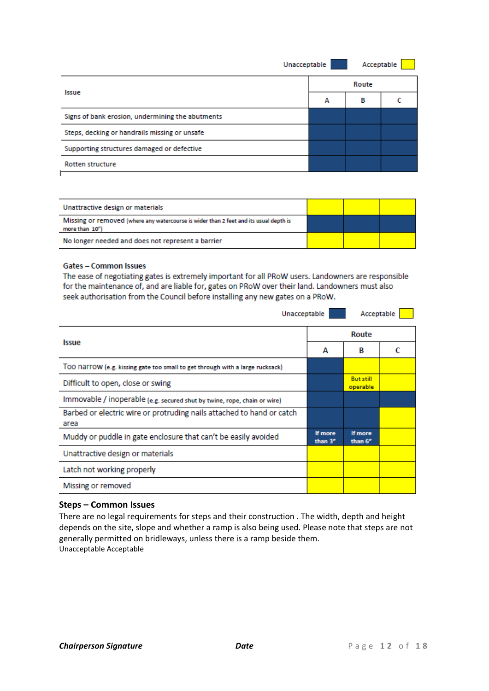|   | Acceptable   |  |
|---|--------------|--|
|   | Route        |  |
| А | в            |  |
|   |              |  |
|   |              |  |
|   |              |  |
|   |              |  |
|   | Unacceptable |  |

| Unattractive design or materials                                                                        |  |  |
|---------------------------------------------------------------------------------------------------------|--|--|
| Missing or removed (where any watercourse is wider than 2 feet and its usual depth is<br>more than 10") |  |  |
| No longer needed and does not represent a barrier                                                       |  |  |

### **Gates - Common Issues**

The ease of negotiating gates is extremely important for all PRoW users. Landowners are responsible for the maintenance of, and are liable for, gates on PRoW over their land. Landowners must also seek authorisation from the Council before installing any new gates on a PRoW.

| Unacceptable                                                                  |                    | Acceptable                   |  |  |
|-------------------------------------------------------------------------------|--------------------|------------------------------|--|--|
|                                                                               |                    | Route                        |  |  |
| Issue                                                                         | А                  | B                            |  |  |
| TOO NaTTOW (e.g. kissing gate too small to get through with a large rucksack) |                    |                              |  |  |
| Difficult to open, close or swing                                             |                    | <b>But still</b><br>operable |  |  |
| Immovable / inoperable (e.g. secured shut by twine, rope, chain or wire)      |                    |                              |  |  |
| Barbed or electric wire or protruding nails attached to hand or catch<br>area |                    |                              |  |  |
| Muddy or puddle in gate enclosure that can't be easily avoided                | If more<br>than 3" | If more<br>than 6"           |  |  |
| Unattractive design or materials                                              |                    |                              |  |  |
| Latch not working properly                                                    |                    |                              |  |  |
| Missing or removed                                                            |                    |                              |  |  |

#### **Steps – Common Issues**

There are no legal requirements for steps and their construction . The width, depth and height depends on the site, slope and whether a ramp is also being used. Please note that steps are not generally permitted on bridleways, unless there is a ramp beside them. Unacceptable Acceptable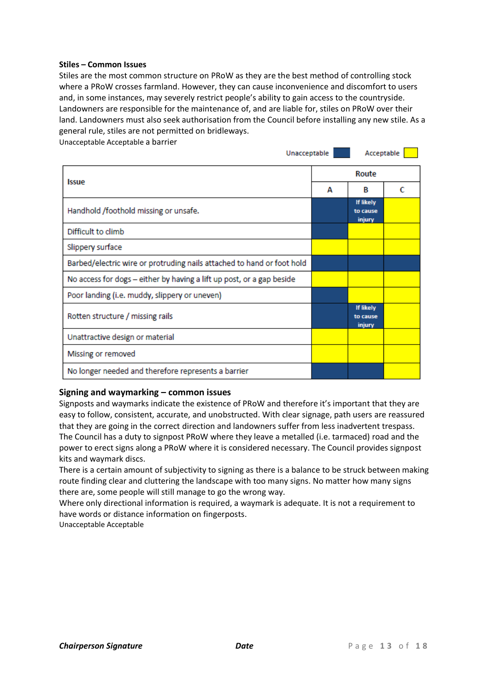#### **Stiles – Common Issues**

Stiles are the most common structure on PRoW as they are the best method of controlling stock where a PRoW crosses farmland. However, they can cause inconvenience and discomfort to users and, in some instances, may severely restrict people's ability to gain access to the countryside. Landowners are responsible for the maintenance of, and are liable for, stiles on PRoW over their land. Landowners must also seek authorisation from the Council before installing any new stile. As a general rule, stiles are not permitted on bridleways.

Unacceptable Acceptable a barrier

| Unacceptable                                                           |   | Acceptable                      |   |
|------------------------------------------------------------------------|---|---------------------------------|---|
| Issue                                                                  |   |                                 |   |
|                                                                        | А | B                               | C |
| Handhold /foothold missing or unsafe.                                  |   | If likely<br>to cause<br>injury |   |
| Difficult to climb                                                     |   |                                 |   |
| Slippery surface                                                       |   |                                 |   |
| Barbed/electric wire or protruding nails attached to hand or foot hold |   |                                 |   |
| No access for dogs - either by having a lift up post, or a gap beside  |   |                                 |   |
| Poor landing (i.e. muddy, slippery or uneven)                          |   |                                 |   |
| Rotten structure / missing rails                                       |   | If likely<br>to cause<br>injury |   |
| Unattractive design or material                                        |   |                                 |   |
| Missing or removed                                                     |   |                                 |   |
| No longer needed and therefore represents a barrier                    |   |                                 |   |

#### **Signing and waymarking – common issues**

Signposts and waymarks indicate the existence of PRoW and therefore it's important that they are easy to follow, consistent, accurate, and unobstructed. With clear signage, path users are reassured that they are going in the correct direction and landowners suffer from less inadvertent trespass. The Council has a duty to signpost PRoW where they leave a metalled (i.e. tarmaced) road and the power to erect signs along a PRoW where it is considered necessary. The Council provides signpost kits and waymark discs.

There is a certain amount of subjectivity to signing as there is a balance to be struck between making route finding clear and cluttering the landscape with too many signs. No matter how many signs there are, some people will still manage to go the wrong way.

Where only directional information is required, a waymark is adequate. It is not a requirement to have words or distance information on fingerposts.

Unacceptable Acceptable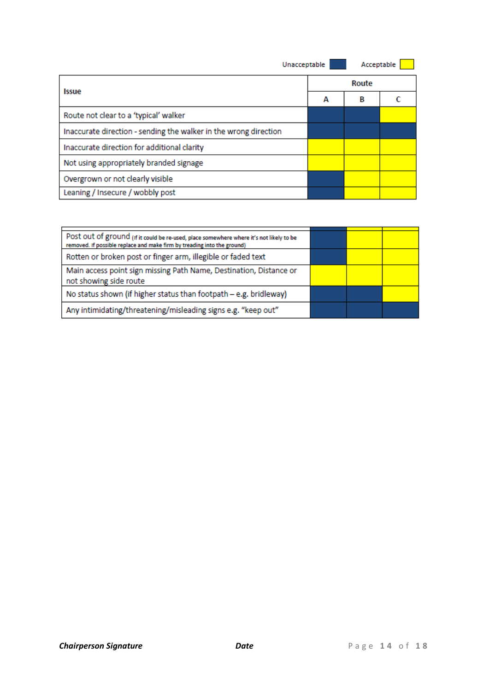| Unacceptable                                                     |  | Acceptable |  |
|------------------------------------------------------------------|--|------------|--|
|                                                                  |  |            |  |
| Issue                                                            |  | В          |  |
| Route not clear to a 'typical' walker                            |  |            |  |
| Inaccurate direction - sending the walker in the wrong direction |  |            |  |
| Inaccurate direction for additional clarity                      |  |            |  |
| Not using appropriately branded signage                          |  |            |  |
| Overgrown or not clearly visible                                 |  |            |  |
| Leaning / Insecure / wobbly post                                 |  |            |  |

| Post out of ground (if it could be re-used, place somewhere where it's not likely to be<br>removed. If possible replace and make firm by treading into the ground) |  |  |
|--------------------------------------------------------------------------------------------------------------------------------------------------------------------|--|--|
| Rotten or broken post or finger arm, illegible or faded text                                                                                                       |  |  |
| Main access point sign missing Path Name, Destination, Distance or<br>not showing side route                                                                       |  |  |
| No status shown (if higher status than footpath - e.g. bridleway)                                                                                                  |  |  |
| Any intimidating/threatening/misleading signs e.g. "keep out"                                                                                                      |  |  |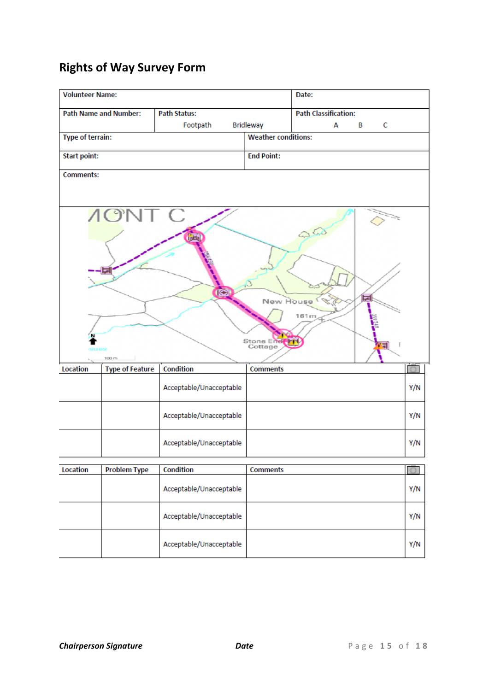## **Rights of Way Survey Form**

| <b>Volunteer Name:</b>  |                              |                         |                                   | Date:                       |        |     |
|-------------------------|------------------------------|-------------------------|-----------------------------------|-----------------------------|--------|-----|
|                         | <b>Path Name and Number:</b> | <b>Path Status:</b>     |                                   | <b>Path Classification:</b> |        |     |
|                         |                              | Footpath                | <b>Bridleway</b>                  | A                           | В<br>С |     |
| <b>Type of terrain:</b> |                              |                         | <b>Weather conditions:</b>        |                             |        |     |
| <b>Start point:</b>     |                              |                         | <b>End Point:</b>                 |                             |        |     |
| <b>Comments:</b>        |                              |                         |                                   |                             |        |     |
|                         | <b>AONT C</b><br>100 m       | ro                      | New House<br>Stone End<br>Cottage | 161m                        | 豆<br>ы |     |
| Location                | <b>Type of Feature</b>       | Condition               | <b>Comments</b>                   |                             |        |     |
|                         |                              | Acceptable/Unacceptable |                                   |                             |        | Y/N |
|                         |                              | Acceptable/Unacceptable |                                   |                             |        | Y/N |
|                         |                              | Acceptable/Unacceptable |                                   |                             |        | Y/N |
| Location                | <b>Problem Type</b>          | Condition               | <b>Comments</b>                   |                             |        |     |
|                         |                              | Acceptable/Unacceptable |                                   |                             |        | Y/N |
|                         |                              | Acceptable/Unacceptable |                                   |                             |        | Y/N |
|                         |                              | Acceptable/Unacceptable |                                   |                             |        | Y/N |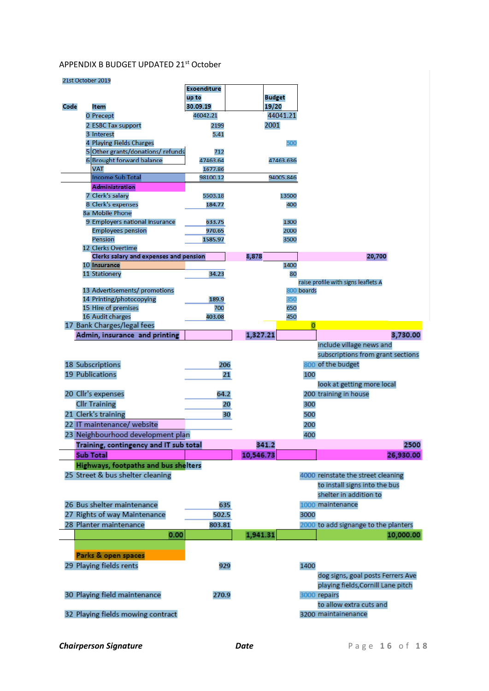### APPENDIX B BUDGET UPDATED 21st October

#### 21st October 2019

|      |                                                              | <b>Exoenditure</b> |           |               |                |                                      |
|------|--------------------------------------------------------------|--------------------|-----------|---------------|----------------|--------------------------------------|
|      |                                                              | up to              |           | <b>Budget</b> |                |                                      |
| Code | ltem                                                         | 30.09.19           |           | 19/20         |                |                                      |
|      | 0 Precept                                                    | 46042.21           |           | 44041.21      |                |                                      |
|      | 2 ESBC Tax support                                           | 2199               |           | 2001          |                |                                      |
|      | 3 Interest                                                   | 5.41               |           |               |                |                                      |
|      | 4 Playing Fields Charges<br>5 Other grants/donations/refunds | 712                |           | 500           |                |                                      |
|      | 6 Brought forward balance                                    | 47463.64           |           | 47463.636     |                |                                      |
|      | <b>VAT</b>                                                   | 1677.86            |           |               |                |                                      |
|      | Income Sub Total                                             | 98100.12           |           | 94005.846     |                |                                      |
|      | Administration                                               |                    |           |               |                |                                      |
|      | 7 Clerk's salary                                             | 5503.18            |           | 13500         |                |                                      |
|      | 8 Clerk's expenses                                           | 184.77             |           | 400           |                |                                      |
|      | 8a Mobile Phone                                              |                    |           |               |                |                                      |
|      | 9 Employers national insurance                               | 633.75             |           | 1300          |                |                                      |
|      | <b>Employees pension</b><br>Pension                          | 970.65<br>1585.97  |           | 2000          |                |                                      |
|      | 12 Clerks Overtime                                           |                    |           | 3500          |                |                                      |
|      | Clerks salary and expenses and pension                       |                    | 8,878     |               |                | 20,700                               |
|      | 10 Insurance                                                 |                    |           | 1400          |                |                                      |
|      | 11 Stationery                                                | 34.23              |           | 80            |                |                                      |
|      |                                                              |                    |           |               |                | raise profile with signs leaflets A  |
|      | 13 Advertisements/ promotions                                |                    |           |               | 800 boards     |                                      |
|      | 14 Printing/photocopying                                     | 189.9              |           | 350           |                |                                      |
|      | 15 Hire of premises                                          | 700                |           | 650           |                |                                      |
|      | 16 Audit charges                                             | 403.08             |           | 450           | $\overline{0}$ |                                      |
|      | 17 Bank Charges/legal fees<br>Admin, insurance and printing  |                    | 1,327.21  |               |                | 3,730.00                             |
|      |                                                              |                    |           |               |                | include village news and             |
|      |                                                              |                    |           |               |                | subscriptions from grant sections    |
|      |                                                              | 206                |           |               |                | 800 of the budget                    |
|      | 18 Subscriptions<br>19 Publications                          |                    | 21        |               |                |                                      |
|      |                                                              |                    |           |               | 100            |                                      |
|      | 20 Cllr's expenses                                           | 64.2               |           |               |                | look at getting more local           |
|      |                                                              |                    |           |               |                | 200 training in house                |
|      | <b>Cllr Training</b>                                         |                    | 20        |               | 300            |                                      |
|      | 21 Clerk's training                                          |                    | 30        |               | 500            |                                      |
|      | 22 IT maintenance/ website                                   |                    |           |               | 200            |                                      |
|      | 23 Neighbourhood development plan                            |                    |           |               | 400            |                                      |
|      | Training, contingency and IT sub total                       |                    |           | 341.2         |                | 2500                                 |
|      | <b>Sub Total</b>                                             |                    | 10,546.73 |               |                | 26,930.00                            |
|      | Highways, footpaths and bus shelters                         |                    |           |               |                |                                      |
|      | 25 Street & bus shelter cleaning                             |                    |           |               |                | 4000 reinstate the street cleaning   |
|      |                                                              |                    |           |               |                | to install signs into the bus        |
|      |                                                              |                    |           |               |                | shelter in addition to               |
|      | 26 Bus shelter maintenance                                   | 635                |           |               |                | 1000 maintenance                     |
|      | 27 Rights of way Maintenance                                 | 502.5              |           |               | 3000           |                                      |
|      | 28 Planter maintenance                                       | 803.81             |           |               |                | 2000 to add signange to the planters |
|      | 0.00                                                         |                    | 1,941.31  |               |                | 10,000.00                            |
|      |                                                              |                    |           |               |                |                                      |
|      | Parks & open spaces                                          |                    |           |               |                |                                      |
|      | 29 Playing fields rents                                      | 929                |           |               | 1400           |                                      |
|      |                                                              |                    |           |               |                | dog signs, goal posts Ferrers Ave    |
|      |                                                              |                    |           |               |                | playing fields, Cornill Lane pitch   |
|      | 30 Playing field maintenance                                 | 270.9              |           |               |                | 3000 repairs                         |
|      |                                                              |                    |           |               |                | to allow extra cuts and              |
|      | 32 Playing fields mowing contract                            |                    |           |               |                | 3200 maintainenance                  |
|      |                                                              |                    |           |               |                |                                      |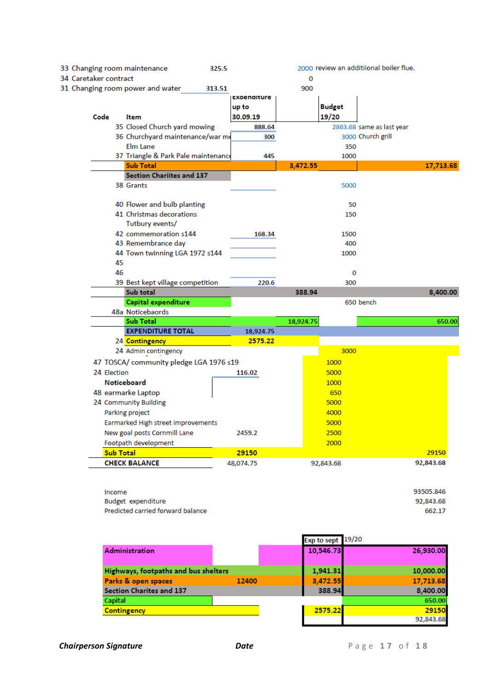| 33 Changing room maintenance     |                                         | 325.5              |           |               | 2000 review an additiional boiler flue. |           |
|----------------------------------|-----------------------------------------|--------------------|-----------|---------------|-----------------------------------------|-----------|
| 34 Caretaker contract            |                                         |                    | 0         |               |                                         |           |
| 31 Changing room power and water |                                         | 313.51             | 900       |               |                                         |           |
|                                  |                                         | <b>Exoenaiture</b> |           |               |                                         |           |
|                                  |                                         | up to              |           | <b>Budget</b> |                                         |           |
| Code                             | <b>Item</b>                             | 30.09.19           |           | 19/20         |                                         |           |
|                                  | 35 Closed Church yard mowing            | 888.64             |           |               | 2863.68 same as last year               |           |
|                                  | 36 Churchyard maintenance/war me        | 300                |           |               | 3000 Church grill                       |           |
|                                  | Elm Lane                                |                    |           | 350           |                                         |           |
|                                  | 37 Triangle & Park Pale maintenance     | 445                |           | 1000          |                                         |           |
|                                  | <b>Sub Total</b>                        |                    | 3,472.55  |               |                                         | 17,713.68 |
|                                  | <b>Section Chariites and 137</b>        |                    |           |               |                                         |           |
|                                  | 38 Grants                               |                    |           | 5000          |                                         |           |
|                                  | 40 Flower and bulb planting             |                    |           | 50            |                                         |           |
|                                  | 41 Christmas decorations                |                    |           | 150           |                                         |           |
|                                  | Tutbury events/                         |                    |           |               |                                         |           |
|                                  | 42 commemoration s144                   | 168.34             |           | 1500          |                                         |           |
|                                  | 43 Remembrance day                      |                    |           | 400           |                                         |           |
|                                  | 44 Town twinning LGA 1972 s144          |                    |           | 1000          |                                         |           |
| 45                               |                                         |                    |           |               |                                         |           |
| 46                               |                                         |                    |           | 0             |                                         |           |
|                                  | 39 Best kept village competition        | 220.6              |           | 300           |                                         |           |
|                                  | Sub total                               |                    | 388.94    |               |                                         | 8,400.00  |
|                                  | Capital expenditure                     |                    |           |               | 650 bench                               |           |
|                                  | 48a Noticebaords                        |                    |           |               |                                         |           |
|                                  | Sub Total                               |                    | 18,924.75 |               |                                         | 650.00    |
|                                  | <b>EXPENDITURE TOTAL</b>                | 18,924.75          |           |               |                                         |           |
|                                  | 24 <mark>Contingency</mark>             | 2575.22            |           |               |                                         |           |
|                                  | 24 Admin contingency                    |                    |           | 3000          |                                         |           |
|                                  | 47 TOSCA/ community pledge LGA 1976 s19 |                    |           | 1000          |                                         |           |
| 24 Election                      |                                         | 116.02             |           | 5000          |                                         |           |
|                                  | <b>Noticeboard</b>                      |                    |           | 1000          |                                         |           |
|                                  | 48 earmarke Laptop                      |                    |           | 650           |                                         |           |
|                                  | 24 Community Building                   |                    |           | 5000          |                                         |           |
|                                  | Parking project                         |                    |           | 4000          |                                         |           |
|                                  | Earmarked High street improvements      |                    |           | 5000          |                                         |           |
|                                  | New goal posts Cornmill Lane            | 2459.2             |           | 2500          |                                         |           |
|                                  | Footpath development                    |                    |           | 2000          |                                         |           |
| <b>Sub Total</b>                 |                                         | 29150              |           |               |                                         | 29150     |
|                                  | <b>CHECK BALANCE</b>                    | 48,074.75          |           | 92,843.68     |                                         | 92,843.68 |
|                                  |                                         |                    |           |               |                                         |           |

93505.846 Income Budget expenditure 92,843.68 Predicted carried forward balance 662.17

|                                      |       | Exp to sept 19/20 |           |
|--------------------------------------|-------|-------------------|-----------|
| <b>Administration</b>                |       | 10,546.73         | 26,930.00 |
| Highways, footpaths and bus shelters |       | 1,941.31          | 10,000.00 |
| Parks & open spaces                  | 12400 | 3,472.55          | 17,713.68 |
| <b>Section Charites and 137</b>      |       | 388.94            | 8,400.00  |
| Capital                              |       |                   | 650.00    |
| <b>Contingency</b>                   |       | 2575.22           | 29150     |
|                                      |       |                   | 92,843.68 |